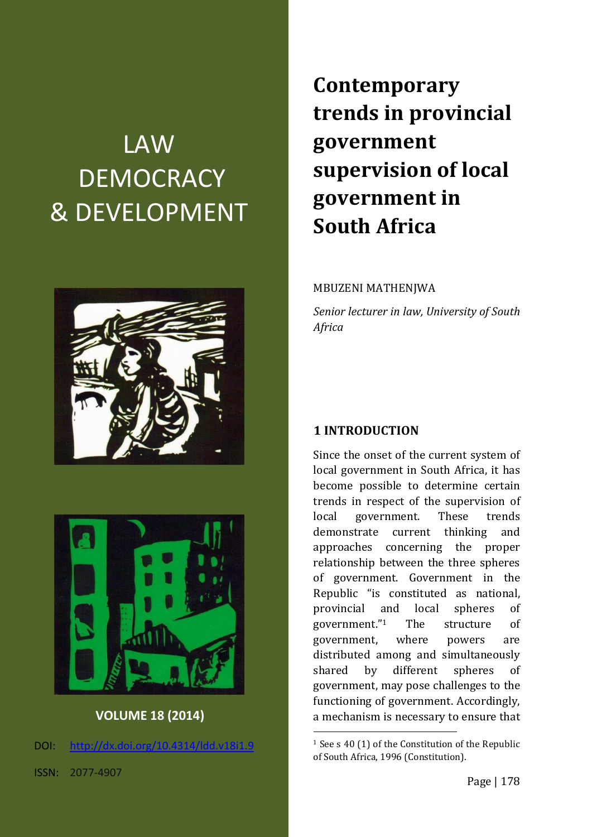# LAW **DEMOCRACY** & DEVELOPMENT





**VOLUME 18 (2014)**

DOI: [http://dx.doi.org/10.4314/ldd.v18i1.9](http://dx.doi.org/10.4314/ldd.v18i1.)

**Contemporary trends in provincial government supervision of local government in South Africa**

#### MBUZENI MATHENJWA

*Senior lecturer in law, University of South Africa*

#### **1 INTRODUCTION**

Since the onset of the current system of local government in South Africa, it has become possible to determine certain trends in respect of the supervision of local government. These trends demonstrate current thinking and approaches concerning the proper relationship between the three spheres of government. Government in the Republic "is constituted as national, provincial and local spheres of government." The structure of government, where powers are distributed among and simultaneously shared by different spheres of government, may pose challenges to the functioning of government. Accordingly, a mechanism is necessary to ensure that

<sup>&</sup>lt;sup>1</sup> See s 40 (1) of the Constitution of the Republic of South Africa, 1996 (Constitution).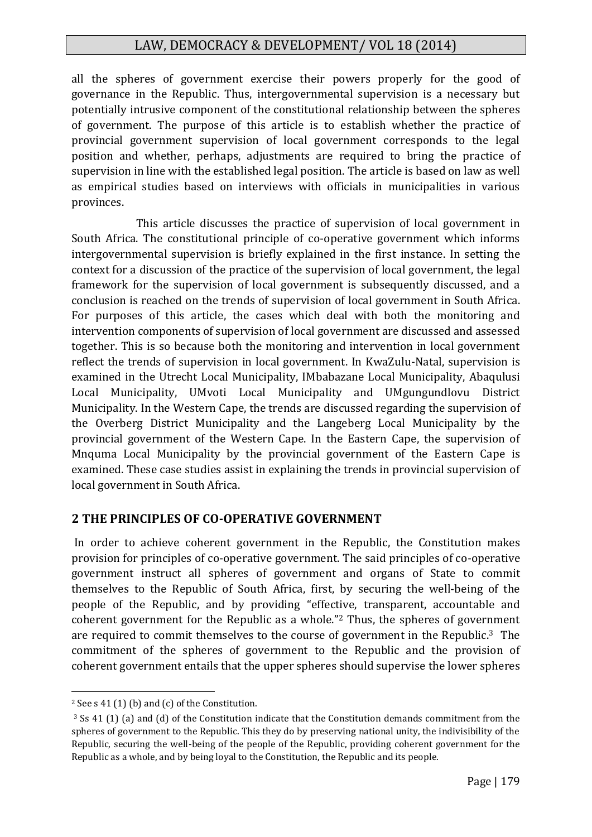all the spheres of government exercise their powers properly for the good of governance in the Republic. Thus, intergovernmental supervision is a necessary but potentially intrusive component of the constitutional relationship between the spheres of government. The purpose of this article is to establish whether the practice of provincial government supervision of local government corresponds to the legal position and whether, perhaps, adjustments are required to bring the practice of supervision in line with the established legal position. The article is based on law as well as empirical studies based on interviews with officials in municipalities in various provinces.

This article discusses the practice of supervision of local government in South Africa. The constitutional principle of co-operative government which informs intergovernmental supervision is briefly explained in the first instance. In setting the context for a discussion of the practice of the supervision of local government, the legal framework for the supervision of local government is subsequently discussed, and a conclusion is reached on the trends of supervision of local government in South Africa. For purposes of this article, the cases which deal with both the monitoring and intervention components of supervision of local government are discussed and assessed together. This is so because both the monitoring and intervention in local government reflect the trends of supervision in local government. In KwaZulu-Natal, supervision is examined in the Utrecht Local Municipality, IMbabazane Local Municipality, Abaqulusi Local Municipality, UMvoti Local Municipality and UMgungundlovu District Municipality. In the Western Cape, the trends are discussed regarding the supervision of the Overberg District Municipality and the Langeberg Local Municipality by the provincial government of the Western Cape. In the Eastern Cape, the supervision of Mnquma Local Municipality by the provincial government of the Eastern Cape is examined. These case studies assist in explaining the trends in provincial supervision of local government in South Africa.

#### **2 THE PRINCIPLES OF CO-OPERATIVE GOVERNMENT**

In order to achieve coherent government in the Republic, the Constitution makes provision for principles of co-operative government. The said principles of co-operative government instruct all spheres of government and organs of State to commit themselves to the Republic of South Africa, first, by securing the well-being of the people of the Republic, and by providing "effective, transparent, accountable and coherent government for the Republic as a whole." <sup>2</sup> Thus, the spheres of government are required to commit themselves to the course of government in the Republic.3 The commitment of the spheres of government to the Republic and the provision of coherent government entails that the upper spheres should supervise the lower spheres

<sup>2</sup> See s 41 (1) (b) and (c) of the Constitution.

<sup>3</sup> Ss 41 (1) (a) and (d) of the Constitution indicate that the Constitution demands commitment from the spheres of government to the Republic. This they do by preserving national unity, the indivisibility of the Republic, securing the well-being of the people of the Republic, providing coherent government for the Republic as a whole, and by being loyal to the Constitution, the Republic and its people.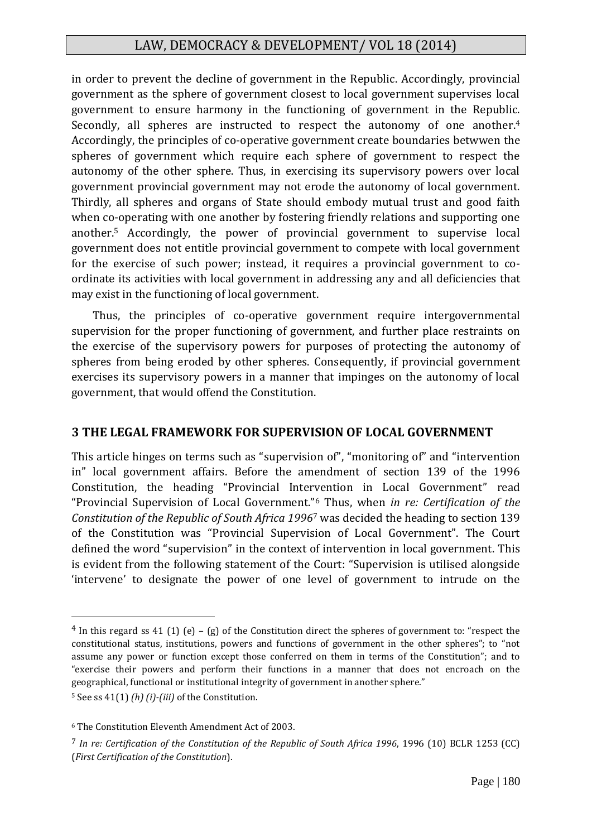in order to prevent the decline of government in the Republic. Accordingly, provincial government as the sphere of government closest to local government supervises local government to ensure harmony in the functioning of government in the Republic. Secondly, all spheres are instructed to respect the autonomy of one another.<sup>4</sup> Accordingly, the principles of co-operative government create boundaries betwwen the spheres of government which require each sphere of government to respect the autonomy of the other sphere. Thus, in exercising its supervisory powers over local government provincial government may not erode the autonomy of local government. Thirdly, all spheres and organs of State should embody mutual trust and good faith when co-operating with one another by fostering friendly relations and supporting one another.<sup>5</sup> Accordingly, the power of provincial government to supervise local government does not entitle provincial government to compete with local government for the exercise of such power; instead, it requires a provincial government to coordinate its activities with local government in addressing any and all deficiencies that may exist in the functioning of local government.

Thus, the principles of co-operative government require intergovernmental supervision for the proper functioning of government, and further place restraints on the exercise of the supervisory powers for purposes of protecting the autonomy of spheres from being eroded by other spheres. Consequently, if provincial government exercises its supervisory powers in a manner that impinges on the autonomy of local government, that would offend the Constitution.

#### **3 THE LEGAL FRAMEWORK FOR SUPERVISION OF LOCAL GOVERNMENT**

This article hinges on terms such as "supervision of", "monitoring of" and "intervention in" local government affairs. Before the amendment of section 139 of the 1996 Constitution, the heading "Provincial Intervention in Local Government" read "Provincial Supervision of Local Government."<sup>6</sup> Thus, when *in re: Certification of the Constitution of the Republic of South Africa 1996*<sup>7</sup> was decided the heading to section 139 of the Constitution was "Provincial Supervision of Local Government". The Court defined the word "supervision" in the context of intervention in local government. This is evident from the following statement of the Court: "Supervision is utilised alongside 'intervene' to designate the power of one level of government to intrude on the

 $4$  In this regard ss 41 (1) (e) – (g) of the Constitution direct the spheres of government to: "respect the constitutional status, institutions, powers and functions of government in the other spheres"; to "not assume any power or function except those conferred on them in terms of the Constitution"; and to "exercise their powers and perform their functions in a manner that does not encroach on the geographical, functional or institutional integrity of government in another sphere."

<sup>5</sup> See ss 41(1) *(h) (i)-(iii)* of the Constitution.

<sup>6</sup> The Constitution Eleventh Amendment Act of 2003.

<sup>7</sup> *In re: Certification of the Constitution of the Republic of South Africa 1996*, 1996 (10) BCLR 1253 (CC) (*First Certification of the Constitution*).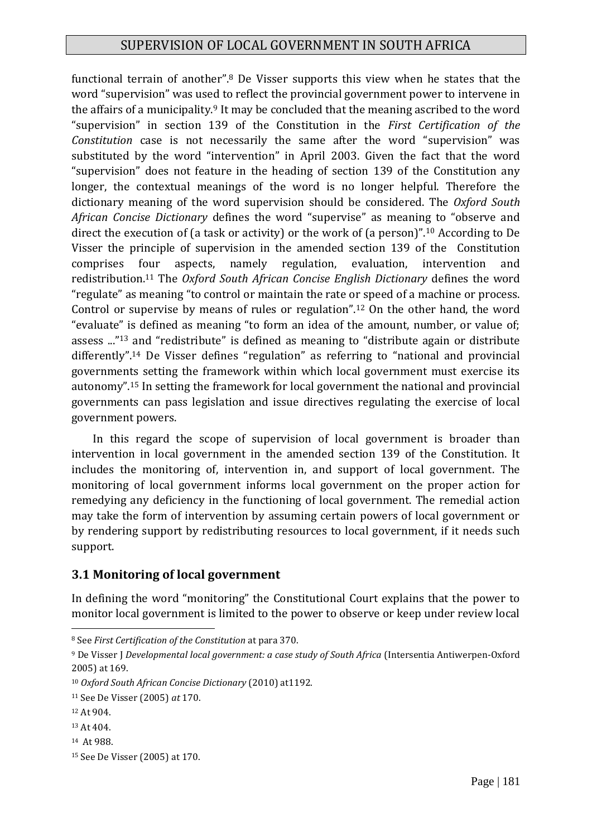functional terrain of another".<sup>8</sup> De Visser supports this view when he states that the word "supervision" was used to reflect the provincial government power to intervene in the affairs of a municipality.<sup>9</sup> It may be concluded that the meaning ascribed to the word "supervision" in section 139 of the Constitution in the *First Certification of the Constitution* case is not necessarily the same after the word "supervision" was substituted by the word "intervention" in April 2003. Given the fact that the word "supervision" does not feature in the heading of section 139 of the Constitution any longer, the contextual meanings of the word is no longer helpful. Therefore the dictionary meaning of the word supervision should be considered. The *Oxford South African Concise Dictionary* defines the word "supervise" as meaning to "observe and direct the execution of (a task or activity) or the work of (a person)".<sup>10</sup> According to De Visser the principle of supervision in the amended section 139 of the Constitution comprises four aspects, namely regulation, evaluation, intervention and redistribution.<sup>11</sup> The *Oxford South African Concise English Dictionary* defines the word "regulate" as meaning "to control or maintain the rate or speed of a machine or process. Control or supervise by means of rules or regulation".<sup>12</sup> On the other hand, the word "evaluate" is defined as meaning "to form an idea of the amount, number, or value of; assess ..."<sup>13</sup> and "redistribute" is defined as meaning to "distribute again or distribute differently". <sup>14</sup> De Visser defines "regulation" as referring to "national and provincial governments setting the framework within which local government must exercise its autonomy".<sup>15</sup> In setting the framework for local government the national and provincial governments can pass legislation and issue directives regulating the exercise of local government powers.

In this regard the scope of supervision of local government is broader than intervention in local government in the amended section 139 of the Constitution. It includes the monitoring of, intervention in, and support of local government. The monitoring of local government informs local government on the proper action for remedying any deficiency in the functioning of local government. The remedial action may take the form of intervention by assuming certain powers of local government or by rendering support by redistributing resources to local government, if it needs such support.

#### **3.1 Monitoring of local government**

In defining the word "monitoring" the Constitutional Court explains that the power to monitor local government is limited to the power to observe or keep under review local

<sup>14</sup> At 988.

<sup>1</sup> <sup>8</sup> See *First Certification of the Constitution* at para 370.

<sup>9</sup> De Visser J *Developmental local government: a case study of South Africa* (Intersentia Antiwerpen-Oxford 2005) at 169.

<sup>10</sup> *Oxford South African Concise Dictionary* (2010) at1192.

<sup>11</sup> See De Visser (2005) *at* 170.

<sup>12</sup> At 904.

<sup>13</sup> At 404.

<sup>15</sup> See De Visser (2005) at 170.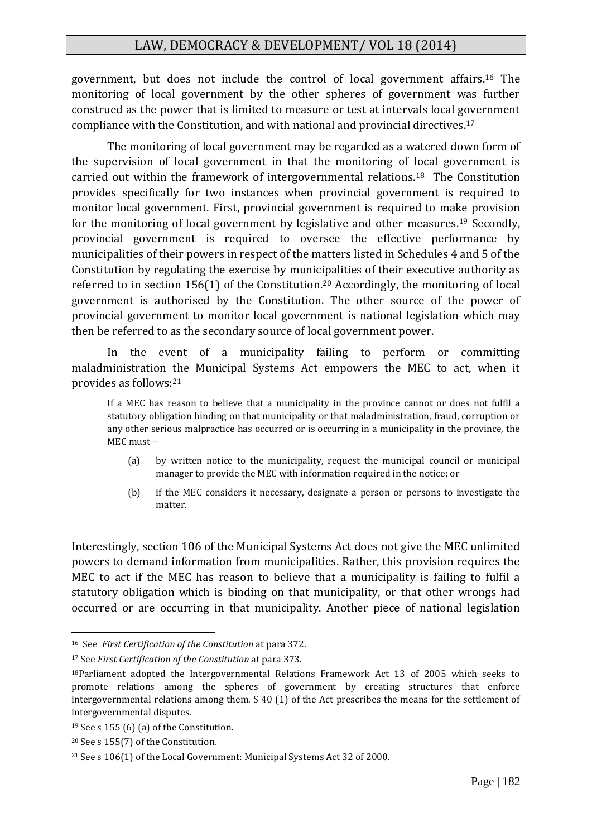government, but does not include the control of local government affairs.<sup>16</sup> The monitoring of local government by the other spheres of government was further construed as the power that is limited to measure or test at intervals local government compliance with the Constitution, and with national and provincial directives.<sup>17</sup>

The monitoring of local government may be regarded as a watered down form of the supervision of local government in that the monitoring of local government is carried out within the framework of intergovernmental relations.<sup>18</sup> The Constitution provides specifically for two instances when provincial government is required to monitor local government. First, provincial government is required to make provision for the monitoring of local government by legislative and other measures.<sup>19</sup> Secondly, provincial government is required to oversee the effective performance by municipalities of their powers in respect of the matters listed in Schedules 4 and 5 of the Constitution by regulating the exercise by municipalities of their executive authority as referred to in section 156(1) of the Constitution.<sup>20</sup> Accordingly, the monitoring of local government is authorised by the Constitution. The other source of the power of provincial government to monitor local government is national legislation which may then be referred to as the secondary source of local government power.

In the event of a municipality failing to perform or committing maladministration the Municipal Systems Act empowers the MEC to act, when it provides as follows:<sup>21</sup>

If a MEC has reason to believe that a municipality in the province cannot or does not fulfil a statutory obligation binding on that municipality or that maladministration, fraud, corruption or any other serious malpractice has occurred or is occurring in a municipality in the province, the MEC must –

- (a) by written notice to the municipality, request the municipal council or municipal manager to provide the MEC with information required in the notice; or
- (b) if the MEC considers it necessary, designate a person or persons to investigate the matter.

Interestingly, section 106 of the Municipal Systems Act does not give the MEC unlimited powers to demand information from municipalities. Rather, this provision requires the MEC to act if the MEC has reason to believe that a municipality is failing to fulfil a statutory obligation which is binding on that municipality, or that other wrongs had occurred or are occurring in that municipality. Another piece of national legislation

<sup>16</sup> See *First Certification of the Constitution* at para 372.

<sup>17</sup> See *First Certification of the Constitution* at para 373.

<sup>18</sup>Parliament adopted the Intergovernmental Relations Framework Act 13 of 2005 which seeks to promote relations among the spheres of government by creating structures that enforce intergovernmental relations among them. S 40 (1) of the Act prescribes the means for the settlement of intergovernmental disputes.

<sup>&</sup>lt;sup>19</sup> See s 155 (6) (a) of the Constitution.

<sup>20</sup> See s 155(7) of the Constitution.

<sup>21</sup> See s 106(1) of the Local Government: Municipal Systems Act 32 of 2000.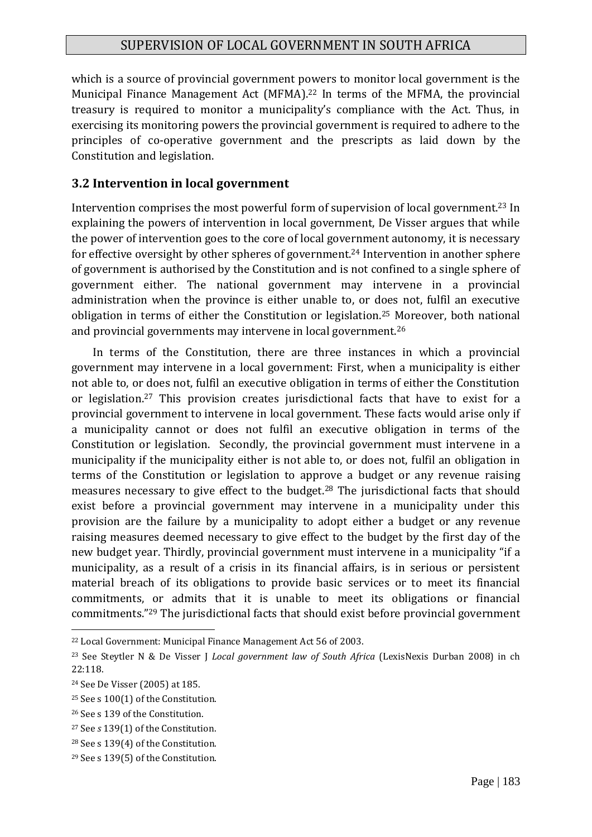which is a source of provincial government powers to monitor local government is the Municipal Finance Management Act (MFMA).<sup>22</sup> In terms of the MFMA, the provincial treasury is required to monitor a municipality's compliance with the Act. Thus, in exercising its monitoring powers the provincial government is required to adhere to the principles of co-operative government and the prescripts as laid down by the Constitution and legislation.

#### **3.2 Intervention in local government**

Intervention comprises the most powerful form of supervision of local government.<sup>23</sup> In explaining the powers of intervention in local government, De Visser argues that while the power of intervention goes to the core of local government autonomy, it is necessary for effective oversight by other spheres of government. <sup>24</sup> Intervention in another sphere of government is authorised by the Constitution and is not confined to a single sphere of government either. The national government may intervene in a provincial administration when the province is either unable to, or does not, fulfil an executive obligation in terms of either the Constitution or legislation.<sup>25</sup> Moreover, both national and provincial governments may intervene in local government.<sup>26</sup>

In terms of the Constitution, there are three instances in which a provincial government may intervene in a local government: First, when a municipality is either not able to, or does not, fulfil an executive obligation in terms of either the Constitution or legislation.<sup>27</sup> This provision creates jurisdictional facts that have to exist for a provincial government to intervene in local government. These facts would arise only if a municipality cannot or does not fulfil an executive obligation in terms of the Constitution or legislation. Secondly, the provincial government must intervene in a municipality if the municipality either is not able to, or does not, fulfil an obligation in terms of the Constitution or legislation to approve a budget or any revenue raising measures necessary to give effect to the budget.<sup>28</sup> The jurisdictional facts that should exist before a provincial government may intervene in a municipality under this provision are the failure by a municipality to adopt either a budget or any revenue raising measures deemed necessary to give effect to the budget by the first day of the new budget year. Thirdly, provincial government must intervene in a municipality "if a municipality, as a result of a crisis in its financial affairs, is in serious or persistent material breach of its obligations to provide basic services or to meet its financial commitments, or admits that it is unable to meet its obligations or financial commitments." <sup>29</sup> The jurisdictional facts that should exist before provincial government

<sup>22</sup> Local Government: Municipal Finance Management Act 56 of 2003.

<sup>23</sup> See Steytler N & De Visser J *Local government law of South Africa* (LexisNexis Durban 2008) in ch 22:118.

<sup>24</sup> See De Visser (2005) at 185.

<sup>25</sup> See s 100(1) of the Constitution.

<sup>26</sup> See s 139 of the Constitution.

<sup>27</sup> See *s* 139(1) of the Constitution.

<sup>28</sup> See s 139(4) of the Constitution.

<sup>29</sup> See s 139(5) of the Constitution.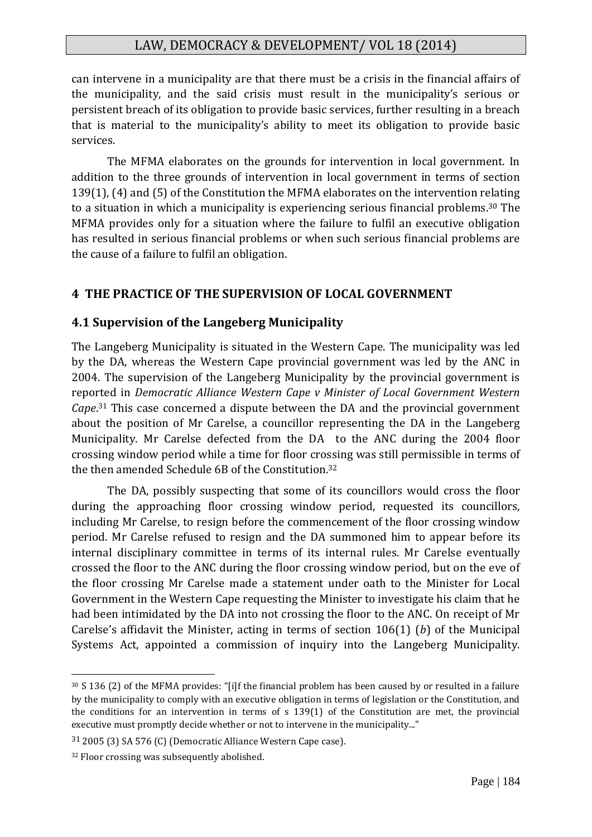can intervene in a municipality are that there must be a crisis in the financial affairs of the municipality, and the said crisis must result in the municipality's serious or persistent breach of its obligation to provide basic services, further resulting in a breach that is material to the municipality's ability to meet its obligation to provide basic services.

The MFMA elaborates on the grounds for intervention in local government. In addition to the three grounds of intervention in local government in terms of section 139(1), (4) and (5) of the Constitution the MFMA elaborates on the intervention relating to a situation in which a municipality is experiencing serious financial problems. <sup>30</sup> The MFMA provides only for a situation where the failure to fulfil an executive obligation has resulted in serious financial problems or when such serious financial problems are the cause of a failure to fulfil an obligation.

#### **4 THE PRACTICE OF THE SUPERVISION OF LOCAL GOVERNMENT**

#### **4.1 Supervision of the Langeberg Municipality**

The Langeberg Municipality is situated in the Western Cape. The municipality was led by the DA, whereas the Western Cape provincial government was led by the ANC in 2004. The supervision of the Langeberg Municipality by the provincial government is reported in *Democratic Alliance Western Cape v Minister of Local Government Western Cape*. <sup>31</sup> This case concerned a dispute between the DA and the provincial government about the position of Mr Carelse, a councillor representing the DA in the Langeberg Municipality. Mr Carelse defected from the DA to the ANC during the 2004 floor crossing window period while a time for floor crossing was still permissible in terms of the then amended Schedule 6B of the Constitution. 32

The DA, possibly suspecting that some of its councillors would cross the floor during the approaching floor crossing window period, requested its councillors, including Mr Carelse, to resign before the commencement of the floor crossing window period. Mr Carelse refused to resign and the DA summoned him to appear before its internal disciplinary committee in terms of its internal rules. Mr Carelse eventually crossed the floor to the ANC during the floor crossing window period, but on the eve of the floor crossing Mr Carelse made a statement under oath to the Minister for Local Government in the Western Cape requesting the Minister to investigate his claim that he had been intimidated by the DA into not crossing the floor to the ANC. On receipt of Mr Carelse's affidavit the Minister, acting in terms of section 106(1) (*b*) of the Municipal Systems Act, appointed a commission of inquiry into the Langeberg Municipality.

<sup>30</sup> S 136 (2) of the MFMA provides: "[i]f the financial problem has been caused by or resulted in a failure by the municipality to comply with an executive obligation in terms of legislation or the Constitution, and the conditions for an intervention in terms of s 139(1) of the Constitution are met, the provincial executive must promptly decide whether or not to intervene in the municipality..."

<sup>31</sup> 2005 (3) SA 576 (C) (Democratic Alliance Western Cape case).

<sup>&</sup>lt;sup>32</sup> Floor crossing was subsequently abolished.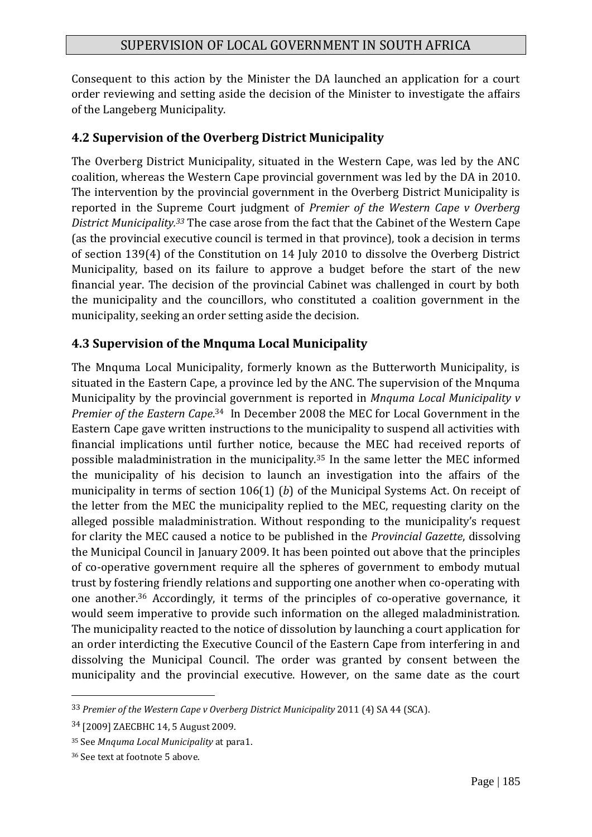Consequent to this action by the Minister the DA launched an application for a court order reviewing and setting aside the decision of the Minister to investigate the affairs of the Langeberg Municipality.

## **4.2 Supervision of the Overberg District Municipality**

The Overberg District Municipality, situated in the Western Cape, was led by the ANC coalition, whereas the Western Cape provincial government was led by the DA in 2010. The intervention by the provincial government in the Overberg District Municipality is reported in the Supreme Court judgment of *Premier of the Western Cape v Overberg District Municipality.<sup>33</sup>* The case arose from the fact that the Cabinet of the Western Cape (as the provincial executive council is termed in that province), took a decision in terms of section 139(4) of the Constitution on 14 July 2010 to dissolve the Overberg District Municipality, based on its failure to approve a budget before the start of the new financial year. The decision of the provincial Cabinet was challenged in court by both the municipality and the councillors, who constituted a coalition government in the municipality, seeking an order setting aside the decision.

## **4.3 Supervision of the Mnquma Local Municipality**

The Mnquma Local Municipality, formerly known as the Butterworth Municipality, is situated in the Eastern Cape, a province led by the ANC. The supervision of the Mnquma Municipality by the provincial government is reported in *Mnquma Local Municipality v Premier of the Eastern Cape*. <sup>34</sup> In December 2008 the MEC for Local Government in the Eastern Cape gave written instructions to the municipality to suspend all activities with financial implications until further notice, because the MEC had received reports of possible maladministration in the municipality.<sup>35</sup> In the same letter the MEC informed the municipality of his decision to launch an investigation into the affairs of the municipality in terms of section 106(1) (*b*) of the Municipal Systems Act. On receipt of the letter from the MEC the municipality replied to the MEC, requesting clarity on the alleged possible maladministration. Without responding to the municipality's request for clarity the MEC caused a notice to be published in the *Provincial Gazette*, dissolving the Municipal Council in January 2009. It has been pointed out above that the principles of co-operative government require all the spheres of government to embody mutual trust by fostering friendly relations and supporting one another when co-operating with one another.<sup>36</sup> Accordingly, it terms of the principles of co-operative governance, it would seem imperative to provide such information on the alleged maladministration. The municipality reacted to the notice of dissolution by launching a court application for an order interdicting the Executive Council of the Eastern Cape from interfering in and dissolving the Municipal Council. The order was granted by consent between the municipality and the provincial executive. However, on the same date as the court

<sup>33</sup> *Premier of the Western Cape v Overberg District Municipality* 2011 (4) SA 44 (SCA).

<sup>34</sup> [2009] ZAECBHC 14, 5 August 2009.

<sup>35</sup> See *Mnquma Local Municipality* at para1.

<sup>36</sup> See text at footnote 5 above.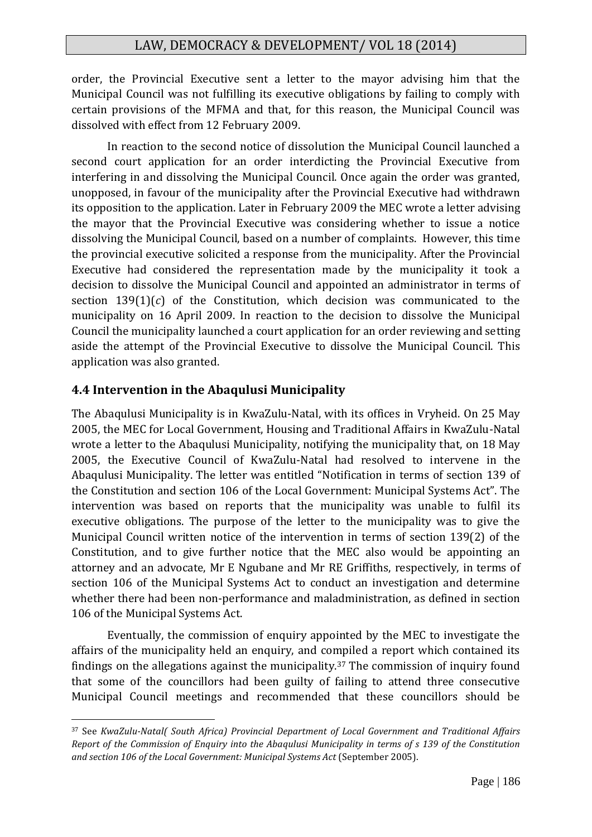order, the Provincial Executive sent a letter to the mayor advising him that the Municipal Council was not fulfilling its executive obligations by failing to comply with certain provisions of the MFMA and that, for this reason, the Municipal Council was dissolved with effect from 12 February 2009.

In reaction to the second notice of dissolution the Municipal Council launched a second court application for an order interdicting the Provincial Executive from interfering in and dissolving the Municipal Council. Once again the order was granted, unopposed, in favour of the municipality after the Provincial Executive had withdrawn its opposition to the application. Later in February 2009 the MEC wrote a letter advising the mayor that the Provincial Executive was considering whether to issue a notice dissolving the Municipal Council, based on a number of complaints. However, this time the provincial executive solicited a response from the municipality. After the Provincial Executive had considered the representation made by the municipality it took a decision to dissolve the Municipal Council and appointed an administrator in terms of section 139(1)(*c*) of the Constitution, which decision was communicated to the municipality on 16 April 2009. In reaction to the decision to dissolve the Municipal Council the municipality launched a court application for an order reviewing and setting aside the attempt of the Provincial Executive to dissolve the Municipal Council. This application was also granted.

#### **4.4 Intervention in the Abaqulusi Municipality**

1

The Abaqulusi Municipality is in KwaZulu-Natal, with its offices in Vryheid. On 25 May 2005, the MEC for Local Government, Housing and Traditional Affairs in KwaZulu-Natal wrote a letter to the Abaqulusi Municipality, notifying the municipality that, on 18 May 2005, the Executive Council of KwaZulu-Natal had resolved to intervene in the Abaqulusi Municipality. The letter was entitled "Notification in terms of section 139 of the Constitution and section 106 of the Local Government: Municipal Systems Act". The intervention was based on reports that the municipality was unable to fulfil its executive obligations. The purpose of the letter to the municipality was to give the Municipal Council written notice of the intervention in terms of section 139(2) of the Constitution, and to give further notice that the MEC also would be appointing an attorney and an advocate, Mr E Ngubane and Mr RE Griffiths, respectively, in terms of section 106 of the Municipal Systems Act to conduct an investigation and determine whether there had been non-performance and maladministration, as defined in section 106 of the Municipal Systems Act.

Eventually, the commission of enquiry appointed by the MEC to investigate the affairs of the municipality held an enquiry, and compiled a report which contained its findings on the allegations against the municipality.<sup>37</sup> The commission of inquiry found that some of the councillors had been guilty of failing to attend three consecutive Municipal Council meetings and recommended that these councillors should be

<sup>37</sup> See *KwaZulu-Natal( South Africa) Provincial Department of Local Government and Traditional Affairs Report of the Commission of Enquiry into the Abaqulusi Municipality in terms of s 139 of the Constitution and section 106 of the Local Government: Municipal Systems Act* (September 2005).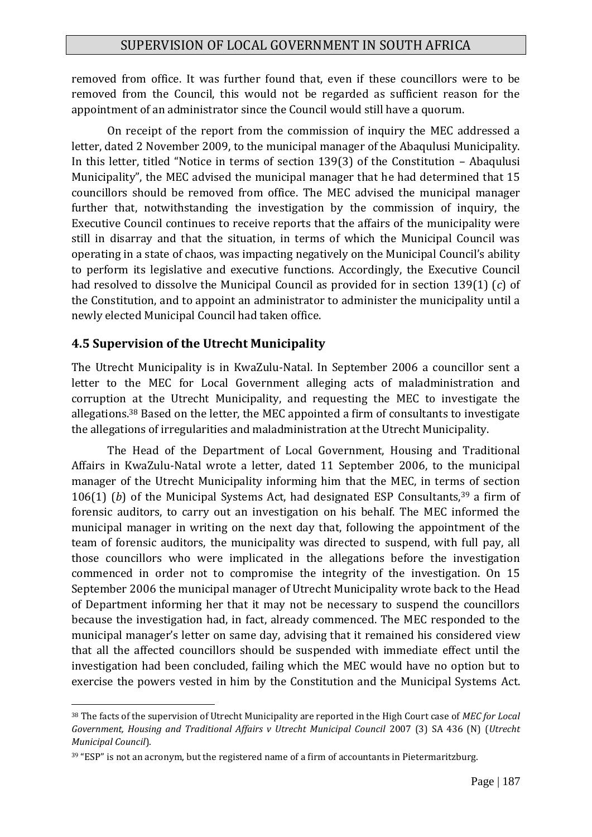removed from office. It was further found that, even if these councillors were to be removed from the Council, this would not be regarded as sufficient reason for the appointment of an administrator since the Council would still have a quorum.

On receipt of the report from the commission of inquiry the MEC addressed a letter, dated 2 November 2009, to the municipal manager of the Abaqulusi Municipality. In this letter, titled "Notice in terms of section 139(3) of the Constitution – Abaqulusi Municipality", the MEC advised the municipal manager that he had determined that 15 councillors should be removed from office. The MEC advised the municipal manager further that, notwithstanding the investigation by the commission of inquiry, the Executive Council continues to receive reports that the affairs of the municipality were still in disarray and that the situation, in terms of which the Municipal Council was operating in a state of chaos, was impacting negatively on the Municipal Council's ability to perform its legislative and executive functions. Accordingly, the Executive Council had resolved to dissolve the Municipal Council as provided for in section 139(1) (*c*) of the Constitution, and to appoint an administrator to administer the municipality until a newly elected Municipal Council had taken office.

## **4.5 Supervision of the Utrecht Municipality**

<u>.</u>

The Utrecht Municipality is in KwaZulu-Natal. In September 2006 a councillor sent a letter to the MEC for Local Government alleging acts of maladministration and corruption at the Utrecht Municipality, and requesting the MEC to investigate the allegations.<sup>38</sup> Based on the letter, the MEC appointed a firm of consultants to investigate the allegations of irregularities and maladministration at the Utrecht Municipality.

The Head of the Department of Local Government, Housing and Traditional Affairs in KwaZulu-Natal wrote a letter, dated 11 September 2006, to the municipal manager of the Utrecht Municipality informing him that the MEC, in terms of section 106(1) (b) of the Municipal Systems Act, had designated ESP Consultants,<sup>39</sup> a firm of forensic auditors, to carry out an investigation on his behalf. The MEC informed the municipal manager in writing on the next day that, following the appointment of the team of forensic auditors, the municipality was directed to suspend, with full pay, all those councillors who were implicated in the allegations before the investigation commenced in order not to compromise the integrity of the investigation. On 15 September 2006 the municipal manager of Utrecht Municipality wrote back to the Head of Department informing her that it may not be necessary to suspend the councillors because the investigation had, in fact, already commenced. The MEC responded to the municipal manager's letter on same day, advising that it remained his considered view that all the affected councillors should be suspended with immediate effect until the investigation had been concluded, failing which the MEC would have no option but to exercise the powers vested in him by the Constitution and the Municipal Systems Act.

<sup>38</sup> The facts of the supervision of Utrecht Municipality are reported in the High Court case of *MEC for Local Government, Housing and Traditional Affairs v Utrecht Municipal Council* 2007 (3) SA 436 (N) (*Utrecht Municipal Council*).

<sup>&</sup>lt;sup>39</sup> "ESP" is not an acronym, but the registered name of a firm of accountants in Pietermaritzburg.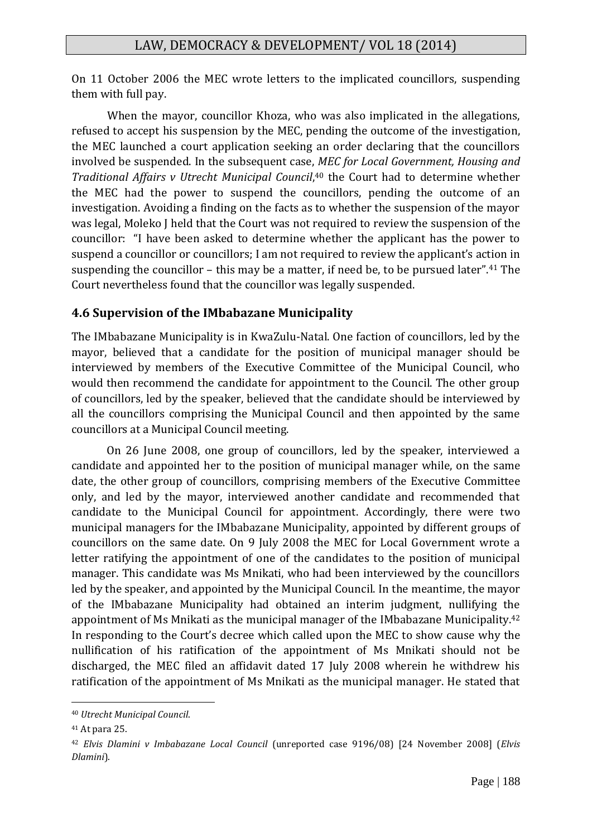On 11 October 2006 the MEC wrote letters to the implicated councillors, suspending them with full pay.

When the mayor, councillor Khoza, who was also implicated in the allegations, refused to accept his suspension by the MEC, pending the outcome of the investigation, the MEC launched a court application seeking an order declaring that the councillors involved be suspended. In the subsequent case, *MEC for Local Government, Housing and*  Traditional Affairs v Utrecht Municipal Council,<sup>40</sup> the Court had to determine whether the MEC had the power to suspend the councillors, pending the outcome of an investigation. Avoiding a finding on the facts as to whether the suspension of the mayor was legal, Moleko J held that the Court was not required to review the suspension of the councillor: "I have been asked to determine whether the applicant has the power to suspend a councillor or councillors; I am not required to review the applicant's action in suspending the councillor – this may be a matter, if need be, to be pursued later".<sup>41</sup> The Court nevertheless found that the councillor was legally suspended.

#### **4.6 Supervision of the IMbabazane Municipality**

The IMbabazane Municipality is in KwaZulu-Natal. One faction of councillors, led by the mayor, believed that a candidate for the position of municipal manager should be interviewed by members of the Executive Committee of the Municipal Council, who would then recommend the candidate for appointment to the Council. The other group of councillors, led by the speaker, believed that the candidate should be interviewed by all the councillors comprising the Municipal Council and then appointed by the same councillors at a Municipal Council meeting.

On 26 June 2008, one group of councillors, led by the speaker, interviewed a candidate and appointed her to the position of municipal manager while, on the same date, the other group of councillors, comprising members of the Executive Committee only, and led by the mayor, interviewed another candidate and recommended that candidate to the Municipal Council for appointment. Accordingly, there were two municipal managers for the IMbabazane Municipality, appointed by different groups of councillors on the same date. On 9 July 2008 the MEC for Local Government wrote a letter ratifying the appointment of one of the candidates to the position of municipal manager. This candidate was Ms Mnikati, who had been interviewed by the councillors led by the speaker, and appointed by the Municipal Council. In the meantime, the mayor of the IMbabazane Municipality had obtained an interim judgment, nullifying the appointment of Ms Mnikati as the municipal manager of the IMbabazane Municipality.<sup>42</sup> In responding to the Court's decree which called upon the MEC to show cause why the nullification of his ratification of the appointment of Ms Mnikati should not be discharged, the MEC filed an affidavit dated 17 July 2008 wherein he withdrew his ratification of the appointment of Ms Mnikati as the municipal manager. He stated that

<sup>40</sup> *Utrecht Municipal Council*.

<sup>41</sup> At para 25.

<sup>42</sup> *Elvis Dlamini v Imbabazane Local Council* (unreported case 9196/08) [24 November 2008] (*Elvis Dlamini*).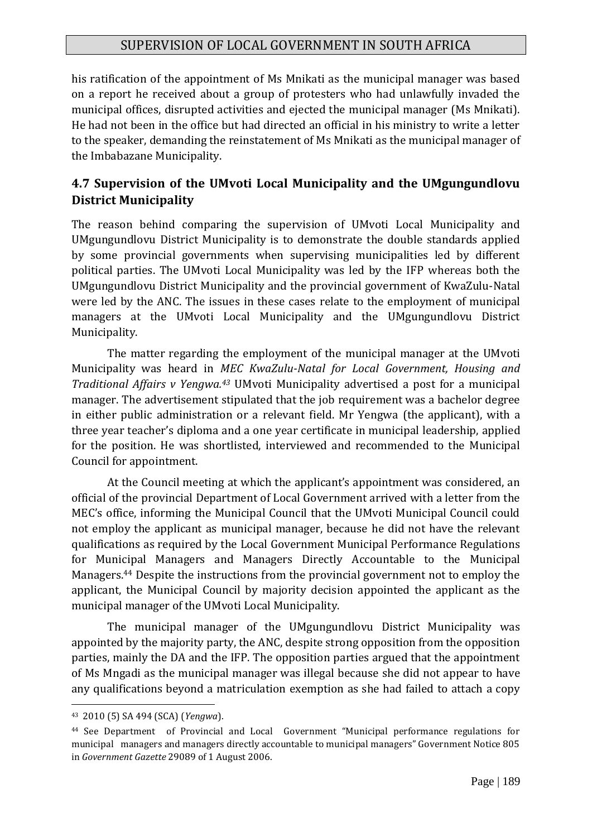his ratification of the appointment of Ms Mnikati as the municipal manager was based on a report he received about a group of protesters who had unlawfully invaded the municipal offices, disrupted activities and ejected the municipal manager (Ms Mnikati). He had not been in the office but had directed an official in his ministry to write a letter to the speaker, demanding the reinstatement of Ms Mnikati as the municipal manager of the Imbabazane Municipality.

## **4.7 Supervision of the UMvoti Local Municipality and the UMgungundlovu District Municipality**

The reason behind comparing the supervision of UMvoti Local Municipality and UMgungundlovu District Municipality is to demonstrate the double standards applied by some provincial governments when supervising municipalities led by different political parties. The UMvoti Local Municipality was led by the IFP whereas both the UMgungundlovu District Municipality and the provincial government of KwaZulu-Natal were led by the ANC. The issues in these cases relate to the employment of municipal managers at the UMvoti Local Municipality and the UMgungundlovu District Municipality.

The matter regarding the employment of the municipal manager at the UMvoti Municipality was heard in *MEC KwaZulu-Natal for Local Government, Housing and Traditional Affairs v Yengwa.<sup>43</sup>* UMvoti Municipality advertised a post for a municipal manager. The advertisement stipulated that the job requirement was a bachelor degree in either public administration or a relevant field. Mr Yengwa (the applicant), with a three year teacher's diploma and a one year certificate in municipal leadership, applied for the position. He was shortlisted, interviewed and recommended to the Municipal Council for appointment.

At the Council meeting at which the applicant's appointment was considered, an official of the provincial Department of Local Government arrived with a letter from the MEC's office, informing the Municipal Council that the UMvoti Municipal Council could not employ the applicant as municipal manager, because he did not have the relevant qualifications as required by the Local Government Municipal Performance Regulations for Municipal Managers and Managers Directly Accountable to the Municipal Managers. <sup>44</sup> Despite the instructions from the provincial government not to employ the applicant, the Municipal Council by majority decision appointed the applicant as the municipal manager of the UMvoti Local Municipality.

The municipal manager of the UMgungundlovu District Municipality was appointed by the majority party, the ANC, despite strong opposition from the opposition parties, mainly the DA and the IFP. The opposition parties argued that the appointment of Ms Mngadi as the municipal manager was illegal because she did not appear to have any qualifications beyond a matriculation exemption as she had failed to attach a copy

<sup>43</sup> 2010 (5) SA 494 (SCA) (*Yengwa*).

<sup>44</sup> See Department of Provincial and Local Government "Municipal performance regulations for municipal managers and managers directly accountable to municipal managers" Government Notice 805 in *Government Gazette* 29089 of 1 August 2006.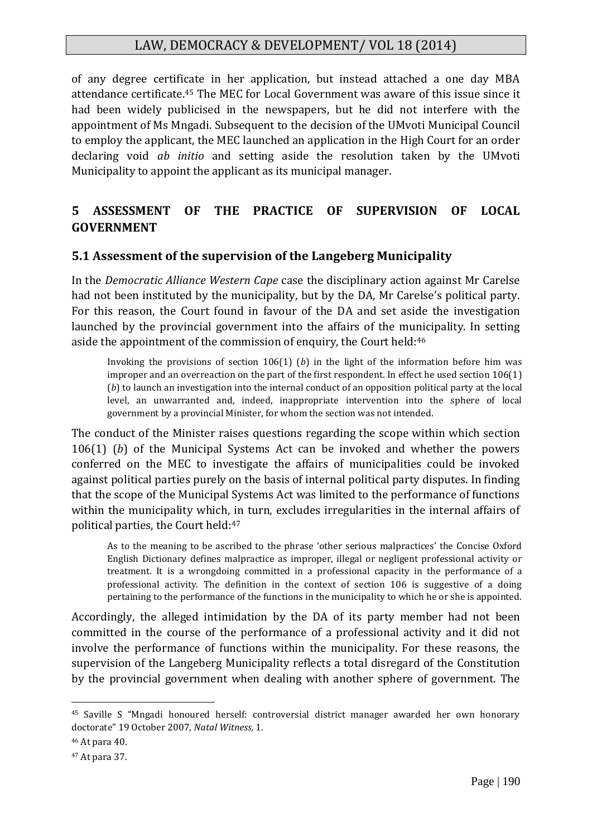of any degree certificate in her application, but instead attached a one day MBA attendance certificate.<sup>45</sup> The MEC for Local Government was aware of this issue since it had been widely publicised in the newspapers, but he did not interfere with the appointment of Ms Mngadi. Subsequent to the decision of the UMvoti Municipal Council to employ the applicant, the MEC launched an application in the High Court for an order declaring void *ab initio* and setting aside the resolution taken by the UMvoti Municipality to appoint the applicant as its municipal manager.

## **5 ASSESSMENT OF THE PRACTICE OF SUPERVISION OF LOCAL GOVERNMENT**

#### **5.1 Assessment of the supervision of the Langeberg Municipality**

In the *Democratic Alliance Western Cape* case the disciplinary action against Mr Carelse had not been instituted by the municipality, but by the DA, Mr Carelse's political party. For this reason, the Court found in favour of the DA and set aside the investigation launched by the provincial government into the affairs of the municipality. In setting aside the appointment of the commission of enquiry, the Court held:<sup>46</sup>

Invoking the provisions of section 106(1) (*b*) in the light of the information before him was improper and an overreaction on the part of the first respondent. In effect he used section 106(1) (*b*) to launch an investigation into the internal conduct of an opposition political party at the local level, an unwarranted and, indeed, inappropriate intervention into the sphere of local government by a provincial Minister, for whom the section was not intended.

The conduct of the Minister raises questions regarding the scope within which section 106(1) (*b*) of the Municipal Systems Act can be invoked and whether the powers conferred on the MEC to investigate the affairs of municipalities could be invoked against political parties purely on the basis of internal political party disputes. In finding that the scope of the Municipal Systems Act was limited to the performance of functions within the municipality which, in turn, excludes irregularities in the internal affairs of political parties, the Court held:<sup>47</sup>

As to the meaning to be ascribed to the phrase 'other serious malpractices' the Concise Oxford English Dictionary defines malpractice as improper, illegal or negligent professional activity or treatment. It is a wrongdoing committed in a professional capacity in the performance of a professional activity. The definition in the context of section 106 is suggestive of a doing pertaining to the performance of the functions in the municipality to which he or she is appointed.

Accordingly, the alleged intimidation by the DA of its party member had not been committed in the course of the performance of a professional activity and it did not involve the performance of functions within the municipality. For these reasons, the supervision of the Langeberg Municipality reflects a total disregard of the Constitution by the provincial government when dealing with another sphere of government. The

<sup>45</sup> Saville S "Mngadi honoured herself: controversial district manager awarded her own honorary doctorate" 19 October 2007, *Natal Witness,* 1.

<sup>46</sup> At para 40.

<sup>47</sup> At para 37.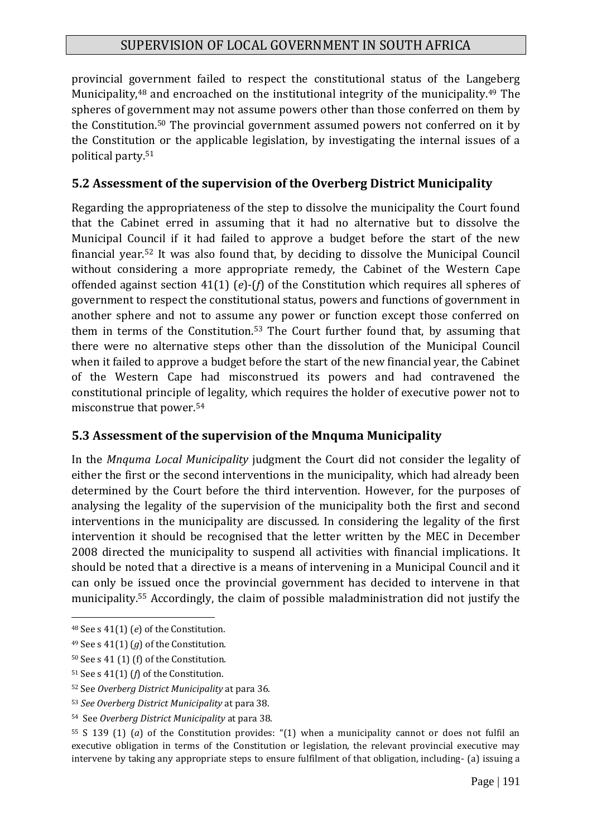provincial government failed to respect the constitutional status of the Langeberg Municipality,<sup>48</sup> and encroached on the institutional integrity of the municipality.<sup>49</sup> The spheres of government may not assume powers other than those conferred on them by the Constitution.<sup>50</sup> The provincial government assumed powers not conferred on it by the Constitution or the applicable legislation, by investigating the internal issues of a political party.<sup>51</sup>

#### **5.2 Assessment of the supervision of the Overberg District Municipality**

Regarding the appropriateness of the step to dissolve the municipality the Court found that the Cabinet erred in assuming that it had no alternative but to dissolve the Municipal Council if it had failed to approve a budget before the start of the new financial year.<sup>52</sup> It was also found that, by deciding to dissolve the Municipal Council without considering a more appropriate remedy, the Cabinet of the Western Cape offended against section 41(1) (*e*)-(*f*) of the Constitution which requires all spheres of government to respect the constitutional status, powers and functions of government in another sphere and not to assume any power or function except those conferred on them in terms of the Constitution.<sup>53</sup> The Court further found that, by assuming that there were no alternative steps other than the dissolution of the Municipal Council when it failed to approve a budget before the start of the new financial year, the Cabinet of the Western Cape had misconstrued its powers and had contravened the constitutional principle of legality, which requires the holder of executive power not to misconstrue that power.<sup>54</sup>

#### **5.3 Assessment of the supervision of the Mnquma Municipality**

In the *Mnquma Local Municipality* judgment the Court did not consider the legality of either the first or the second interventions in the municipality, which had already been determined by the Court before the third intervention. However, for the purposes of analysing the legality of the supervision of the municipality both the first and second interventions in the municipality are discussed. In considering the legality of the first intervention it should be recognised that the letter written by the MEC in December 2008 directed the municipality to suspend all activities with financial implications. It should be noted that a directive is a means of intervening in a Municipal Council and it can only be issued once the provincial government has decided to intervene in that municipality.<sup>55</sup> Accordingly, the claim of possible maladministration did not justify the

<sup>48</sup> See s 41(1) (*e*) of the Constitution.

<sup>49</sup> See s 41(1) (*g*) of the Constitution.

<sup>50</sup> See s 41 (1) (f) of the Constitution.

<sup>51</sup> See s 41(1) (*f*) of the Constitution.

<sup>52</sup> See *Overberg District Municipality* at para 36.

<sup>53</sup> *See Overberg District Municipality* at para 38.

<sup>54</sup> See *Overberg District Municipality* at para 38.

<sup>55</sup> S 139 (1) (*a*) of the Constitution provides: "(1) when a municipality cannot or does not fulfil an executive obligation in terms of the Constitution or legislation, the relevant provincial executive may intervene by taking any appropriate steps to ensure fulfilment of that obligation, including- (a) issuing a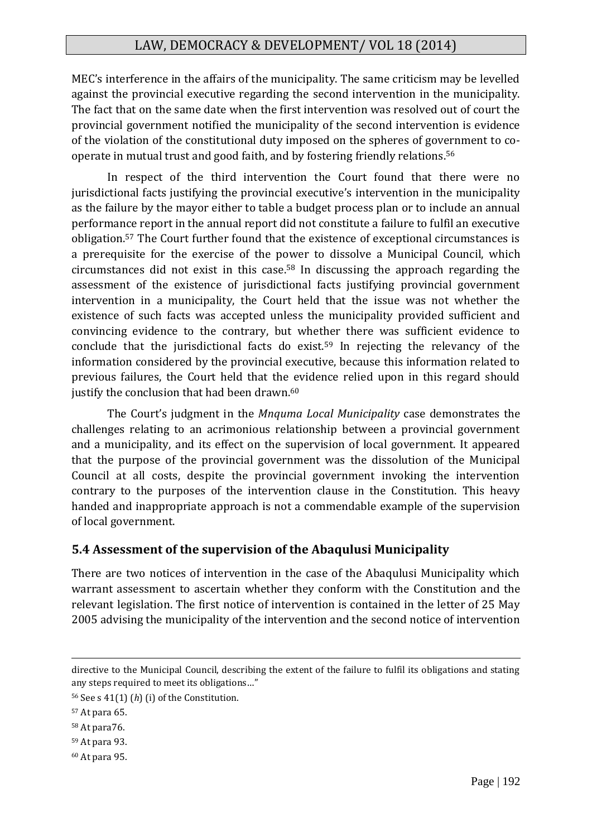MEC's interference in the affairs of the municipality. The same criticism may be levelled against the provincial executive regarding the second intervention in the municipality. The fact that on the same date when the first intervention was resolved out of court the provincial government notified the municipality of the second intervention is evidence of the violation of the constitutional duty imposed on the spheres of government to cooperate in mutual trust and good faith, and by fostering friendly relations.<sup>56</sup>

In respect of the third intervention the Court found that there were no jurisdictional facts justifying the provincial executive's intervention in the municipality as the failure by the mayor either to table a budget process plan or to include an annual performance report in the annual report did not constitute a failure to fulfil an executive obligation.<sup>57</sup> The Court further found that the existence of exceptional circumstances is a prerequisite for the exercise of the power to dissolve a Municipal Council, which circumstances did not exist in this case.<sup>58</sup> In discussing the approach regarding the assessment of the existence of jurisdictional facts justifying provincial government intervention in a municipality, the Court held that the issue was not whether the existence of such facts was accepted unless the municipality provided sufficient and convincing evidence to the contrary, but whether there was sufficient evidence to conclude that the jurisdictional facts do exist.<sup>59</sup> In rejecting the relevancy of the information considered by the provincial executive, because this information related to previous failures, the Court held that the evidence relied upon in this regard should justify the conclusion that had been drawn.<sup>60</sup>

The Court's judgment in the *Mnquma Local Municipality* case demonstrates the challenges relating to an acrimonious relationship between a provincial government and a municipality, and its effect on the supervision of local government. It appeared that the purpose of the provincial government was the dissolution of the Municipal Council at all costs, despite the provincial government invoking the intervention contrary to the purposes of the intervention clause in the Constitution. This heavy handed and inappropriate approach is not a commendable example of the supervision of local government.

#### **5.4 Assessment of the supervision of the Abaqulusi Municipality**

There are two notices of intervention in the case of the Abaqulusi Municipality which warrant assessment to ascertain whether they conform with the Constitution and the relevant legislation. The first notice of intervention is contained in the letter of 25 May 2005 advising the municipality of the intervention and the second notice of intervention

directive to the Municipal Council, describing the extent of the failure to fulfil its obligations and stating any steps required to meet its obligations…"

<sup>56</sup> See s 41(1) (*h*) (i) of the Constitution.

<sup>57</sup> At para 65.

<sup>58</sup> At para76.

<sup>59</sup> At para 93.

<sup>60</sup> At para 95.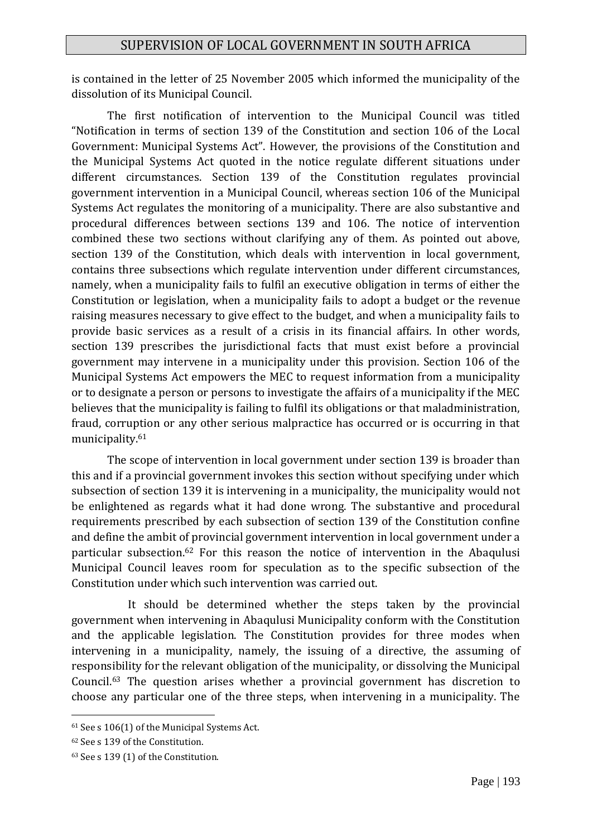is contained in the letter of 25 November 2005 which informed the municipality of the dissolution of its Municipal Council.

The first notification of intervention to the Municipal Council was titled "Notification in terms of section 139 of the Constitution and section 106 of the Local Government: Municipal Systems Act". However, the provisions of the Constitution and the Municipal Systems Act quoted in the notice regulate different situations under different circumstances. Section 139 of the Constitution regulates provincial government intervention in a Municipal Council, whereas section 106 of the Municipal Systems Act regulates the monitoring of a municipality. There are also substantive and procedural differences between sections 139 and 106. The notice of intervention combined these two sections without clarifying any of them. As pointed out above, section 139 of the Constitution, which deals with intervention in local government, contains three subsections which regulate intervention under different circumstances, namely, when a municipality fails to fulfil an executive obligation in terms of either the Constitution or legislation, when a municipality fails to adopt a budget or the revenue raising measures necessary to give effect to the budget, and when a municipality fails to provide basic services as a result of a crisis in its financial affairs. In other words, section 139 prescribes the jurisdictional facts that must exist before a provincial government may intervene in a municipality under this provision. Section 106 of the Municipal Systems Act empowers the MEC to request information from a municipality or to designate a person or persons to investigate the affairs of a municipality if the MEC believes that the municipality is failing to fulfil its obligations or that maladministration, fraud, corruption or any other serious malpractice has occurred or is occurring in that municipality.<sup>61</sup>

The scope of intervention in local government under section 139 is broader than this and if a provincial government invokes this section without specifying under which subsection of section 139 it is intervening in a municipality, the municipality would not be enlightened as regards what it had done wrong. The substantive and procedural requirements prescribed by each subsection of section 139 of the Constitution confine and define the ambit of provincial government intervention in local government under a particular subsection.<sup>62</sup> For this reason the notice of intervention in the Abaqulusi Municipal Council leaves room for speculation as to the specific subsection of the Constitution under which such intervention was carried out.

It should be determined whether the steps taken by the provincial government when intervening in Abaqulusi Municipality conform with the Constitution and the applicable legislation. The Constitution provides for three modes when intervening in a municipality, namely, the issuing of a directive, the assuming of responsibility for the relevant obligation of the municipality, or dissolving the Municipal Council.<sup>63</sup> The question arises whether a provincial government has discretion to choose any particular one of the three steps, when intervening in a municipality. The

<sup>61</sup> See s 106(1) of the Municipal Systems Act.

<sup>62</sup> See s 139 of the Constitution.

<sup>63</sup> See s 139 (1) of the Constitution.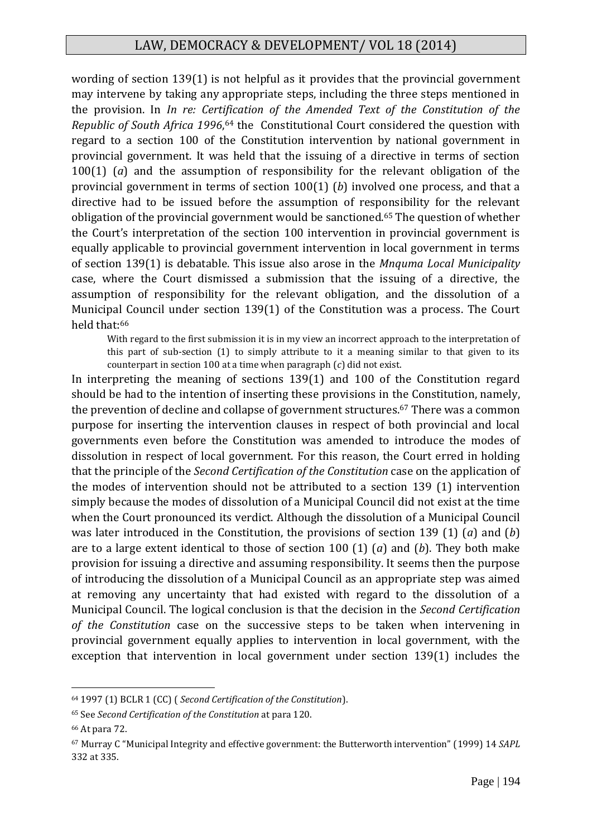wording of section 139(1) is not helpful as it provides that the provincial government may intervene by taking any appropriate steps, including the three steps mentioned in the provision. In *In re: Certification of the Amended Text of the Constitution of the*  Republic of South Africa 1996,<sup>64</sup> the Constitutional Court considered the question with regard to a section 100 of the Constitution intervention by national government in provincial government. It was held that the issuing of a directive in terms of section 100(1) (*a*) and the assumption of responsibility for the relevant obligation of the provincial government in terms of section 100(1) (*b*) involved one process, and that a directive had to be issued before the assumption of responsibility for the relevant obligation of the provincial government would be sanctioned.<sup>65</sup> The question of whether the Court's interpretation of the section 100 intervention in provincial government is equally applicable to provincial government intervention in local government in terms of section 139(1) is debatable. This issue also arose in the *Mnquma Local Municipality*  case, where the Court dismissed a submission that the issuing of a directive, the assumption of responsibility for the relevant obligation, and the dissolution of a Municipal Council under section 139(1) of the Constitution was a process. The Court held that:<sup>66</sup>

With regard to the first submission it is in my view an incorrect approach to the interpretation of this part of sub-section (1) to simply attribute to it a meaning similar to that given to its counterpart in section 100 at a time when paragraph (*c*) did not exist.

In interpreting the meaning of sections 139(1) and 100 of the Constitution regard should be had to the intention of inserting these provisions in the Constitution, namely, the prevention of decline and collapse of government structures.<sup>67</sup> There was a common purpose for inserting the intervention clauses in respect of both provincial and local governments even before the Constitution was amended to introduce the modes of dissolution in respect of local government. For this reason, the Court erred in holding that the principle of the *Second Certification of the Constitution* case on the application of the modes of intervention should not be attributed to a section 139 (1) intervention simply because the modes of dissolution of a Municipal Council did not exist at the time when the Court pronounced its verdict. Although the dissolution of a Municipal Council was later introduced in the Constitution, the provisions of section 139 (1) (*a*) and (*b*) are to a large extent identical to those of section 100 (1) (*a*) and (*b*). They both make provision for issuing a directive and assuming responsibility. It seems then the purpose of introducing the dissolution of a Municipal Council as an appropriate step was aimed at removing any uncertainty that had existed with regard to the dissolution of a Municipal Council. The logical conclusion is that the decision in the *Second Certification of the Constitution* case on the successive steps to be taken when intervening in provincial government equally applies to intervention in local government, with the exception that intervention in local government under section 139(1) includes the

<sup>64</sup> 1997 (1) BCLR 1 (CC) ( *Second Certification of the Constitution*).

<sup>65</sup> See *Second Certification of the Constitution* at para 120.

<sup>66</sup> At para 72.

<sup>67</sup> Murray C "Municipal Integrity and effective government: the Butterworth intervention" (1999) 14 *SAPL* 332 at 335.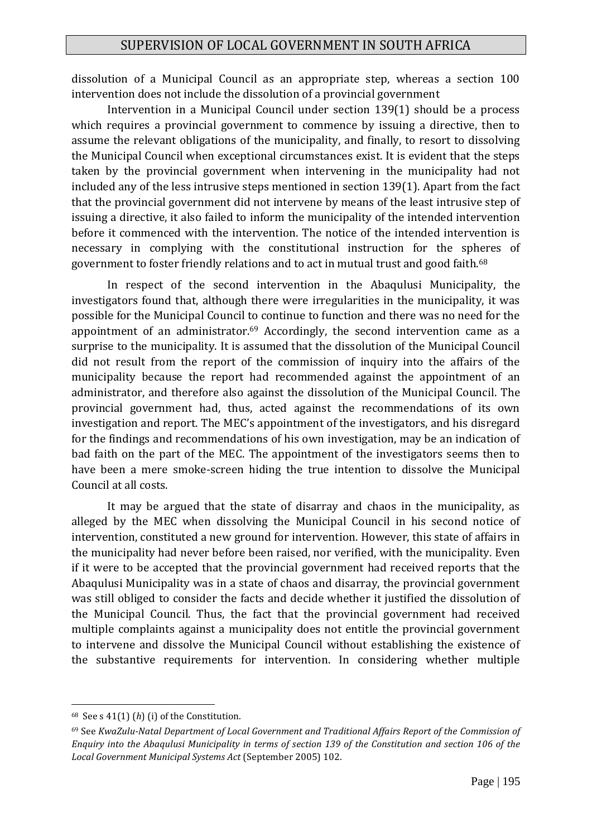dissolution of a Municipal Council as an appropriate step, whereas a section 100 intervention does not include the dissolution of a provincial government

Intervention in a Municipal Council under section 139(1) should be a process which requires a provincial government to commence by issuing a directive, then to assume the relevant obligations of the municipality, and finally, to resort to dissolving the Municipal Council when exceptional circumstances exist. It is evident that the steps taken by the provincial government when intervening in the municipality had not included any of the less intrusive steps mentioned in section 139(1). Apart from the fact that the provincial government did not intervene by means of the least intrusive step of issuing a directive, it also failed to inform the municipality of the intended intervention before it commenced with the intervention. The notice of the intended intervention is necessary in complying with the constitutional instruction for the spheres of government to foster friendly relations and to act in mutual trust and good faith.<sup>68</sup>

In respect of the second intervention in the Abaqulusi Municipality, the investigators found that, although there were irregularities in the municipality, it was possible for the Municipal Council to continue to function and there was no need for the appointment of an administrator.<sup>69</sup> Accordingly, the second intervention came as a surprise to the municipality. It is assumed that the dissolution of the Municipal Council did not result from the report of the commission of inquiry into the affairs of the municipality because the report had recommended against the appointment of an administrator, and therefore also against the dissolution of the Municipal Council. The provincial government had, thus, acted against the recommendations of its own investigation and report. The MEC's appointment of the investigators, and his disregard for the findings and recommendations of his own investigation, may be an indication of bad faith on the part of the MEC. The appointment of the investigators seems then to have been a mere smoke-screen hiding the true intention to dissolve the Municipal Council at all costs.

It may be argued that the state of disarray and chaos in the municipality, as alleged by the MEC when dissolving the Municipal Council in his second notice of intervention, constituted a new ground for intervention. However, this state of affairs in the municipality had never before been raised, nor verified, with the municipality. Even if it were to be accepted that the provincial government had received reports that the Abaqulusi Municipality was in a state of chaos and disarray, the provincial government was still obliged to consider the facts and decide whether it justified the dissolution of the Municipal Council. Thus, the fact that the provincial government had received multiple complaints against a municipality does not entitle the provincial government to intervene and dissolve the Municipal Council without establishing the existence of the substantive requirements for intervention. In considering whether multiple

<sup>68</sup> See s 41(1) (*h*) (i) of the Constitution.

<sup>69</sup> See *KwaZulu-Natal Department of Local Government and Traditional Affairs Report of the Commission of Enquiry into the Abaqulusi Municipality in terms of section 139 of the Constitution and section 106 of the Local Government Municipal Systems Act* (September 2005) 102.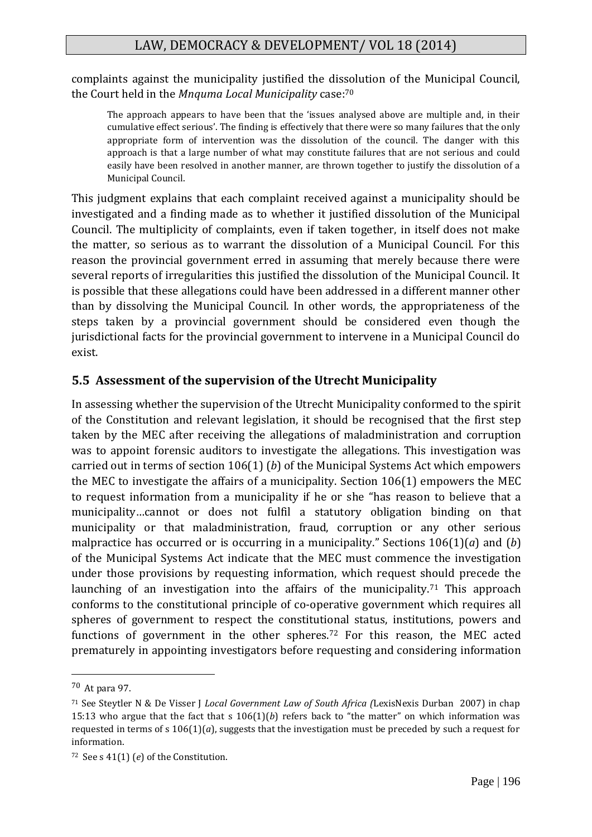complaints against the municipality justified the dissolution of the Municipal Council, the Court held in the *Mnquma Local Municipality* case:<sup>70</sup>

The approach appears to have been that the 'issues analysed above are multiple and, in their cumulative effect serious'. The finding is effectively that there were so many failures that the only appropriate form of intervention was the dissolution of the council. The danger with this approach is that a large number of what may constitute failures that are not serious and could easily have been resolved in another manner, are thrown together to justify the dissolution of a Municipal Council.

This judgment explains that each complaint received against a municipality should be investigated and a finding made as to whether it justified dissolution of the Municipal Council. The multiplicity of complaints, even if taken together, in itself does not make the matter, so serious as to warrant the dissolution of a Municipal Council. For this reason the provincial government erred in assuming that merely because there were several reports of irregularities this justified the dissolution of the Municipal Council. It is possible that these allegations could have been addressed in a different manner other than by dissolving the Municipal Council. In other words, the appropriateness of the steps taken by a provincial government should be considered even though the jurisdictional facts for the provincial government to intervene in a Municipal Council do exist.

## **5.5 Assessment of the supervision of the Utrecht Municipality**

In assessing whether the supervision of the Utrecht Municipality conformed to the spirit of the Constitution and relevant legislation, it should be recognised that the first step taken by the MEC after receiving the allegations of maladministration and corruption was to appoint forensic auditors to investigate the allegations. This investigation was carried out in terms of section 106(1) (*b*) of the Municipal Systems Act which empowers the MEC to investigate the affairs of a municipality. Section 106(1) empowers the MEC to request information from a municipality if he or she "has reason to believe that a municipality…cannot or does not fulfil a statutory obligation binding on that municipality or that maladministration, fraud, corruption or any other serious malpractice has occurred or is occurring in a municipality." Sections 106(1)(*a*) and (*b*) of the Municipal Systems Act indicate that the MEC must commence the investigation under those provisions by requesting information, which request should precede the launching of an investigation into the affairs of the municipality.<sup>71</sup> This approach conforms to the constitutional principle of co-operative government which requires all spheres of government to respect the constitutional status, institutions, powers and functions of government in the other spheres.<sup>72</sup> For this reason, the MEC acted prematurely in appointing investigators before requesting and considering information

<sup>70</sup> At para 97.

<sup>71</sup> See Steytler N & De Visser J *Local Government Law of South Africa (*LexisNexis Durban 2007) in chap 15:13 who argue that the fact that s  $106(1)(b)$  refers back to "the matter" on which information was requested in terms of s  $106(1)(a)$ , suggests that the investigation must be preceded by such a request for information.

<sup>72</sup> See s 41(1) (*e*) of the Constitution.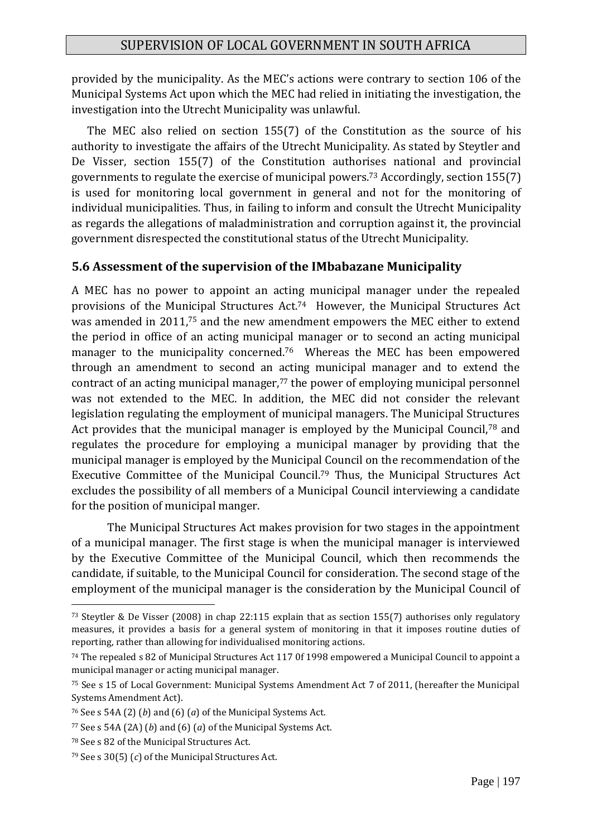provided by the municipality. As the MEC's actions were contrary to section 106 of the Municipal Systems Act upon which the MEC had relied in initiating the investigation, the investigation into the Utrecht Municipality was unlawful.

 The MEC also relied on section 155(7) of the Constitution as the source of his authority to investigate the affairs of the Utrecht Municipality. As stated by Steytler and De Visser, section 155(7) of the Constitution authorises national and provincial governments to regulate the exercise of municipal powers.<sup>73</sup> Accordingly, section 155(7) is used for monitoring local government in general and not for the monitoring of individual municipalities. Thus, in failing to inform and consult the Utrecht Municipality as regards the allegations of maladministration and corruption against it, the provincial government disrespected the constitutional status of the Utrecht Municipality.

#### **5.6 Assessment of the supervision of the IMbabazane Municipality**

A MEC has no power to appoint an acting municipal manager under the repealed provisions of the Municipal Structures Act.74 However, the Municipal Structures Act was amended in 2011,<sup>75</sup> and the new amendment empowers the MEC either to extend the period in office of an acting municipal manager or to second an acting municipal manager to the municipality concerned.<sup>76</sup> Whereas the MEC has been empowered through an amendment to second an acting municipal manager and to extend the contract of an acting municipal manager,<sup>77</sup> the power of employing municipal personnel was not extended to the MEC. In addition, the MEC did not consider the relevant legislation regulating the employment of municipal managers. The Municipal Structures Act provides that the municipal manager is employed by the Municipal Council,<sup>78</sup> and regulates the procedure for employing a municipal manager by providing that the municipal manager is employed by the Municipal Council on the recommendation of the Executive Committee of the Municipal Council.<sup>79</sup> Thus, the Municipal Structures Act excludes the possibility of all members of a Municipal Council interviewing a candidate for the position of municipal manger.

The Municipal Structures Act makes provision for two stages in the appointment of a municipal manager. The first stage is when the municipal manager is interviewed by the Executive Committee of the Municipal Council, which then recommends the candidate, if suitable, to the Municipal Council for consideration. The second stage of the employment of the municipal manager is the consideration by the Municipal Council of

<sup>73</sup> Steytler & De Visser (2008) in chap 22:115 explain that as section 155(7) authorises only regulatory measures, it provides a basis for a general system of monitoring in that it imposes routine duties of reporting, rather than allowing for individualised monitoring actions.

<sup>74</sup> The repealed s 82 of Municipal Structures Act 117 0f 1998 empowered a Municipal Council to appoint a municipal manager or acting municipal manager.

<sup>75</sup> See s 15 of Local Government: Municipal Systems Amendment Act 7 of 2011, (hereafter the Municipal Systems Amendment Act).

<sup>76</sup> See s 54A (2) (*b*) and (6) (*a*) of the Municipal Systems Act.

<sup>77</sup> See s 54A (2A) (*b*) and (6) (*a*) of the Municipal Systems Act.

<sup>78</sup> See s 82 of the Municipal Structures Act.

<sup>79</sup> See s 30(5) (*c*) of the Municipal Structures Act.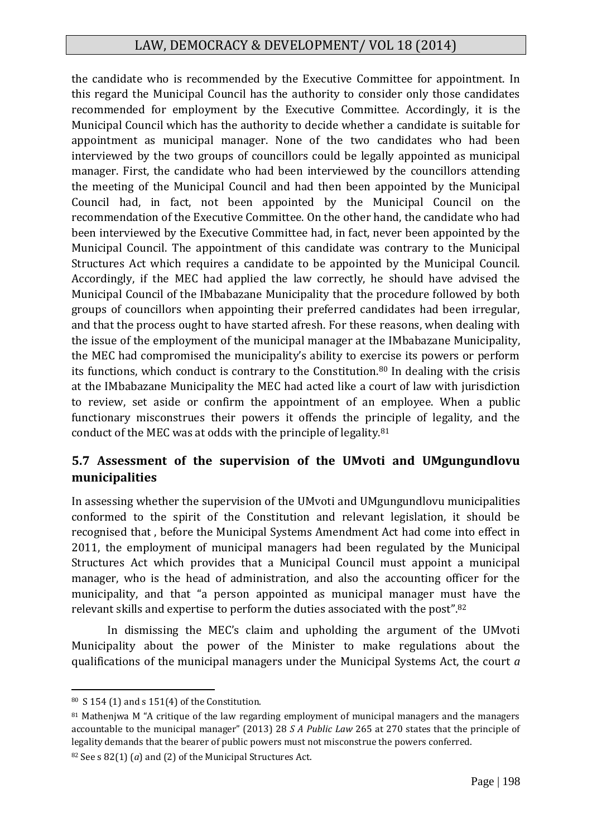the candidate who is recommended by the Executive Committee for appointment. In this regard the Municipal Council has the authority to consider only those candidates recommended for employment by the Executive Committee. Accordingly, it is the Municipal Council which has the authority to decide whether a candidate is suitable for appointment as municipal manager. None of the two candidates who had been interviewed by the two groups of councillors could be legally appointed as municipal manager. First, the candidate who had been interviewed by the councillors attending the meeting of the Municipal Council and had then been appointed by the Municipal Council had, in fact, not been appointed by the Municipal Council on the recommendation of the Executive Committee. On the other hand, the candidate who had been interviewed by the Executive Committee had, in fact, never been appointed by the Municipal Council. The appointment of this candidate was contrary to the Municipal Structures Act which requires a candidate to be appointed by the Municipal Council. Accordingly, if the MEC had applied the law correctly, he should have advised the Municipal Council of the IMbabazane Municipality that the procedure followed by both groups of councillors when appointing their preferred candidates had been irregular, and that the process ought to have started afresh. For these reasons, when dealing with the issue of the employment of the municipal manager at the IMbabazane Municipality, the MEC had compromised the municipality's ability to exercise its powers or perform its functions, which conduct is contrary to the Constitution.<sup>80</sup> In dealing with the crisis at the IMbabazane Municipality the MEC had acted like a court of law with jurisdiction to review, set aside or confirm the appointment of an employee. When a public functionary misconstrues their powers it offends the principle of legality, and the conduct of the MEC was at odds with the principle of legality.<sup>81</sup>

## **5.7 Assessment of the supervision of the UMvoti and UMgungundlovu municipalities**

In assessing whether the supervision of the UMvoti and UMgungundlovu municipalities conformed to the spirit of the Constitution and relevant legislation, it should be recognised that , before the Municipal Systems Amendment Act had come into effect in 2011, the employment of municipal managers had been regulated by the Municipal Structures Act which provides that a Municipal Council must appoint a municipal manager, who is the head of administration, and also the accounting officer for the municipality, and that "a person appointed as municipal manager must have the relevant skills and expertise to perform the duties associated with the post".<sup>82</sup>

In dismissing the MEC's claim and upholding the argument of the UMvoti Municipality about the power of the Minister to make regulations about the qualifications of the municipal managers under the Municipal Systems Act, the court *a* 

1

<sup>82</sup> See s 82(1) (*a*) and (2) of the Municipal Structures Act.

<sup>80</sup> S 154 (1) and s 151(4) of the Constitution.

<sup>81</sup> Mathenjwa M "A critique of the law regarding employment of municipal managers and the managers accountable to the municipal manager" (2013) 28 *S A Public Law* 265 at 270 states that the principle of legality demands that the bearer of public powers must not misconstrue the powers conferred.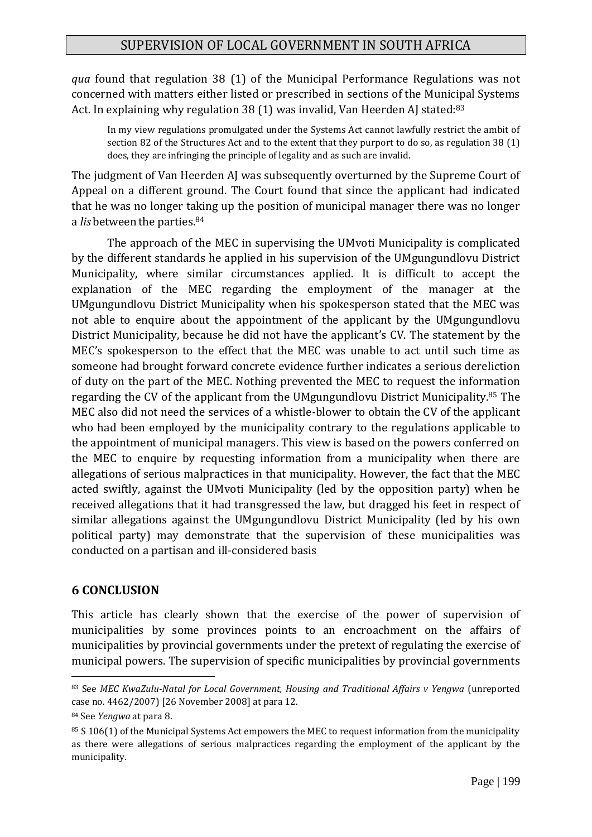*qua* found that regulation 38 (1) of the Municipal Performance Regulations was not concerned with matters either listed or prescribed in sections of the Municipal Systems Act. In explaining why regulation 38 (1) was invalid, Van Heerden AJ stated:<sup>83</sup>

In my view regulations promulgated under the Systems Act cannot lawfully restrict the ambit of section 82 of the Structures Act and to the extent that they purport to do so, as regulation 38 (1) does, they are infringing the principle of legality and as such are invalid.

The judgment of Van Heerden AJ was subsequently overturned by the Supreme Court of Appeal on a different ground. The Court found that since the applicant had indicated that he was no longer taking up the position of municipal manager there was no longer a *lis* between the parties.<sup>84</sup>

The approach of the MEC in supervising the UMvoti Municipality is complicated by the different standards he applied in his supervision of the UMgungundlovu District Municipality, where similar circumstances applied. It is difficult to accept the explanation of the MEC regarding the employment of the manager at the UMgungundlovu District Municipality when his spokesperson stated that the MEC was not able to enquire about the appointment of the applicant by the UMgungundlovu District Municipality, because he did not have the applicant's CV. The statement by the MEC's spokesperson to the effect that the MEC was unable to act until such time as someone had brought forward concrete evidence further indicates a serious dereliction of duty on the part of the MEC. Nothing prevented the MEC to request the information regarding the CV of the applicant from the UMgungundlovu District Municipality.<sup>85</sup> The MEC also did not need the services of a whistle-blower to obtain the CV of the applicant who had been employed by the municipality contrary to the regulations applicable to the appointment of municipal managers. This view is based on the powers conferred on the MEC to enquire by requesting information from a municipality when there are allegations of serious malpractices in that municipality. However, the fact that the MEC acted swiftly, against the UMvoti Municipality (led by the opposition party) when he received allegations that it had transgressed the law, but dragged his feet in respect of similar allegations against the UMgungundlovu District Municipality (led by his own political party) may demonstrate that the supervision of these municipalities was conducted on a partisan and ill-considered basis

#### **6 CONCLUSION**

This article has clearly shown that the exercise of the power of supervision of municipalities by some provinces points to an encroachment on the affairs of municipalities by provincial governments under the pretext of regulating the exercise of municipal powers. The supervision of specific municipalities by provincial governments

<sup>83</sup> See *MEC KwaZulu-Natal for Local Government, Housing and Traditional Affairs v Yengwa* (unreported case no. 4462/2007) [26 November 2008] at para 12.

<sup>84</sup> See *Yengwa* at para 8.

<sup>85</sup> S 106(1) of the Municipal Systems Act empowers the MEC to request information from the municipality as there were allegations of serious malpractices regarding the employment of the applicant by the municipality.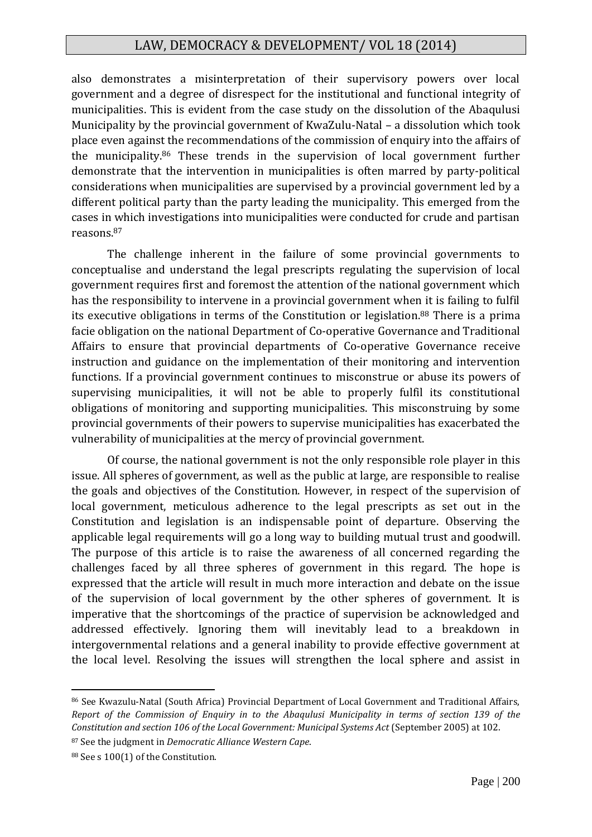also demonstrates a misinterpretation of their supervisory powers over local government and a degree of disrespect for the institutional and functional integrity of municipalities. This is evident from the case study on the dissolution of the Abaqulusi Municipality by the provincial government of KwaZulu-Natal – a dissolution which took place even against the recommendations of the commission of enquiry into the affairs of the municipality.<sup>86</sup> These trends in the supervision of local government further demonstrate that the intervention in municipalities is often marred by party-political considerations when municipalities are supervised by a provincial government led by a different political party than the party leading the municipality. This emerged from the cases in which investigations into municipalities were conducted for crude and partisan reasons.<sup>87</sup>

The challenge inherent in the failure of some provincial governments to conceptualise and understand the legal prescripts regulating the supervision of local government requires first and foremost the attention of the national government which has the responsibility to intervene in a provincial government when it is failing to fulfil its executive obligations in terms of the Constitution or legislation.<sup>88</sup> There is a prima facie obligation on the national Department of Co-operative Governance and Traditional Affairs to ensure that provincial departments of Co-operative Governance receive instruction and guidance on the implementation of their monitoring and intervention functions. If a provincial government continues to misconstrue or abuse its powers of supervising municipalities, it will not be able to properly fulfil its constitutional obligations of monitoring and supporting municipalities. This misconstruing by some provincial governments of their powers to supervise municipalities has exacerbated the vulnerability of municipalities at the mercy of provincial government.

Of course, the national government is not the only responsible role player in this issue. All spheres of government, as well as the public at large, are responsible to realise the goals and objectives of the Constitution. However, in respect of the supervision of local government, meticulous adherence to the legal prescripts as set out in the Constitution and legislation is an indispensable point of departure. Observing the applicable legal requirements will go a long way to building mutual trust and goodwill. The purpose of this article is to raise the awareness of all concerned regarding the challenges faced by all three spheres of government in this regard. The hope is expressed that the article will result in much more interaction and debate on the issue of the supervision of local government by the other spheres of government. It is imperative that the shortcomings of the practice of supervision be acknowledged and addressed effectively. Ignoring them will inevitably lead to a breakdown in intergovernmental relations and a general inability to provide effective government at the local level. Resolving the issues will strengthen the local sphere and assist in

<sup>86</sup> See Kwazulu-Natal (South Africa) Provincial Department of Local Government and Traditional Affairs, *Report of the Commission of Enquiry in to the Abaqulusi Municipality in terms of section 139 of the Constitution and section 106 of the Local Government: Municipal Systems Act* (September 2005) at 102.

<sup>87</sup> See the judgment in *Democratic Alliance Western Cape*.

<sup>88</sup> See s 100(1) of the Constitution.